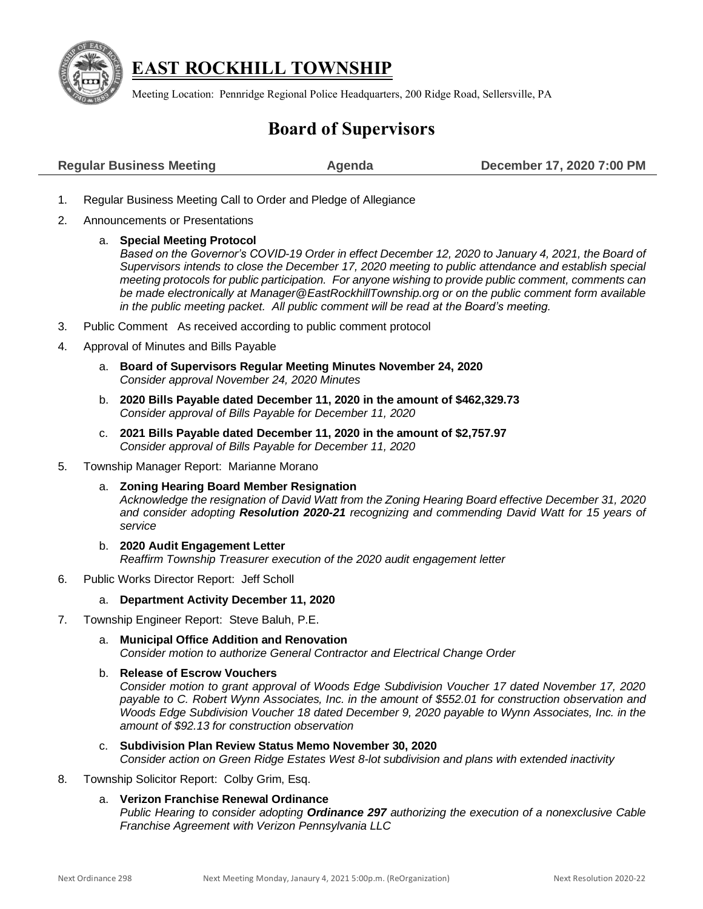

## **EAST ROCKHILL TOWNSHIP**

Meeting Location: Pennridge Regional Police Headquarters, 200 Ridge Road, Sellersville, PA

# **Board of Supervisors**

| <b>Regular Business Meeting</b> | Agenda | December 17, 2020 7:00 PM |
|---------------------------------|--------|---------------------------|
|                                 |        |                           |

- 1. Regular Business Meeting Call to Order and Pledge of Allegiance
- 2. Announcements or Presentations

a. **Special Meeting Protocol**  Based on the Governor's COVID-19 Order in effect December 12, 2020 to January 4, 2021, the Board of *Supervisors intends to close the December 17, 2020 meeting to public attendance and establish special meeting protocols for public participation. For anyone wishing to provide public comment, comments can be made electronically at [Manager@EastRockhillTownship.org](mailto:Manager@EastRockhillTownship.org) or on the public comment form available in the public meeting packet. All public comment will be read at the Board's meeting.* 

- 3. Public Comment As received according to public comment protocol
- 4. Approval of Minutes and Bills Payable
	- a. **Board of Supervisors Regular Meeting Minutes November 24, 2020**  *Consider approval November 24, 2020 Minutes*
	- b. **2020 Bills Payable dated December 11, 2020 in the amount of \$462,329.73** *Consider approval of Bills Payable for December 11, 2020*
	- c. **2021 Bills Payable dated December 11, 2020 in the amount of \$2,757.97** *Consider approval of Bills Payable for December 11, 2020*
- 5. Township Manager Report: Marianne Morano
	- a. **Zoning Hearing Board Member Resignation** *Acknowledge the resignation of David Watt from the Zoning Hearing Board effective December 31, 2020 and consider adopting Resolution 2020-21 recognizing and commending David Watt for 15 years of service*
	- b. **2020 Audit Engagement Letter** *Reaffirm Township Treasurer execution of the 2020 audit engagement letter*
- 6. Public Works Director Report: Jeff Scholl

#### a. **Department Activity December 11, 2020**

- 7. Township Engineer Report: Steve Baluh, P.E.
	- a. **Municipal Office Addition and Renovation** *Consider motion to authorize General Contractor and Electrical Change Order*

#### b. **Release of Escrow Vouchers**

*Consider motion to grant approval of Woods Edge Subdivision Voucher 17 dated November 17, 2020 payable to C. Robert Wynn Associates, Inc. in the amount of \$552.01 for construction observation and Woods Edge Subdivision Voucher 18 dated December 9, 2020 payable to Wynn Associates, Inc. in the amount of \$92.13 for construction observation*

- c. **Subdivision Plan Review Status Memo November 30, 2020** *Consider action on Green Ridge Estates West 8-lot subdivision and plans with extended inactivity*
- 8. Township Solicitor Report: Colby Grim, Esq.

#### a. **Verizon Franchise Renewal Ordinance**

*Public Hearing to consider adopting Ordinance 297 authorizing the execution of a nonexclusive Cable Franchise Agreement with Verizon Pennsylvania LLC*